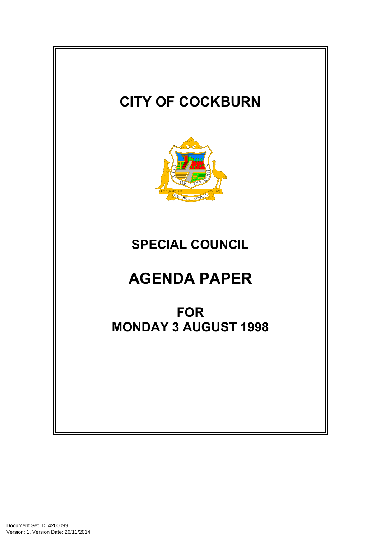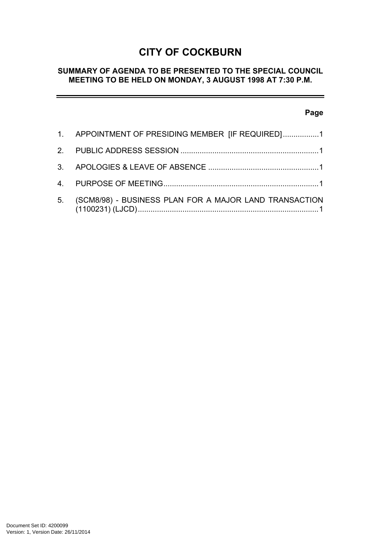# **CITY OF COCKBURN**

# **SUMMARY OF AGENDA TO BE PRESENTED TO THE SPECIAL COUNCIL MEETING TO BE HELD ON MONDAY, 3 AUGUST 1998 AT 7:30 P.M.**

## **Page**

| 1. APPOINTMENT OF PRESIDING MEMBER [IF REQUIRED]1         |
|-----------------------------------------------------------|
|                                                           |
|                                                           |
|                                                           |
| 5. (SCM8/98) - BUSINESS PLAN FOR A MAJOR LAND TRANSACTION |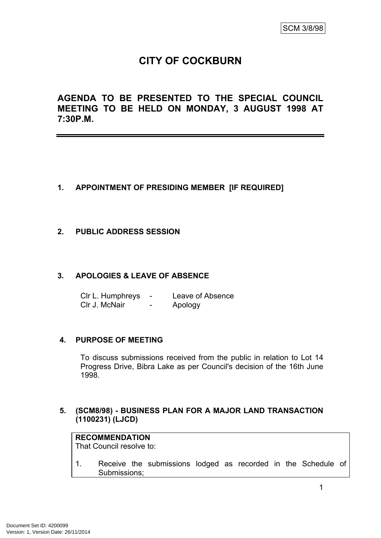# **CITY OF COCKBURN**

**AGENDA TO BE PRESENTED TO THE SPECIAL COUNCIL MEETING TO BE HELD ON MONDAY, 3 AUGUST 1998 AT 7:30P.M.**

## <span id="page-2-0"></span>**1. APPOINTMENT OF PRESIDING MEMBER [IF REQUIRED]**

## <span id="page-2-1"></span>**2. PUBLIC ADDRESS SESSION**

#### <span id="page-2-2"></span>**3. APOLOGIES & LEAVE OF ABSENCE**

Clr L. Humphreys - Leave of Absence Clr J. McNair - Apology

#### <span id="page-2-3"></span>**4. PURPOSE OF MEETING**

To discuss submissions received from the public in relation to Lot 14 Progress Drive, Bibra Lake as per Council's decision of the 16th June 1998.

#### <span id="page-2-4"></span>**5. (SCM8/98) - BUSINESS PLAN FOR A MAJOR LAND TRANSACTION (1100231) (LJCD)**

# **RECOMMENDATION**

That Council resolve to:

1. Receive the submissions lodged as recorded in the Schedule of Submissions;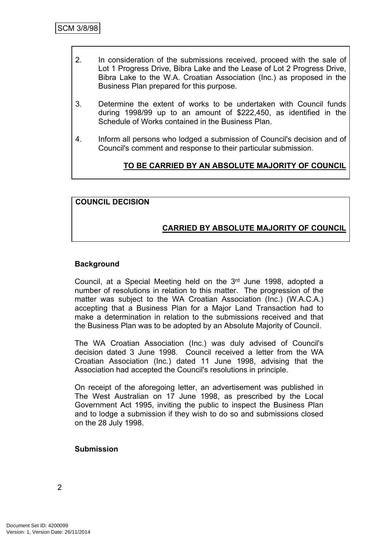- 2. In consideration of the submissions received, proceed with the sale of Lot 1 Progress Drive, Bibra Lake and the Lease of Lot 2 Progress Drive, Bibra Lake to the W.A. Croatian Association (Inc.) as proposed in the Business Plan prepared for this purpose.
- 3. Determine the extent of works to be undertaken with Council funds during 1998/99 up to an amount of \$222,450, as identified in the Schedule of Works contained in the Business Plan.
- 4. Inform all persons who lodged a submission of Council's decision and of Council's comment and response to their particular submission.

## **TO BE CARRIED BY AN ABSOLUTE MAJORITY OF COUNCIL**

## **COUNCIL DECISION**

## **CARRIED BY ABSOLUTE MAJORITY OF COUNCIL**

#### **Background**

Council, at a Special Meeting held on the 3<sup>rd</sup> June 1998, adopted a number of resolutions in relation to this matter. The progression of the matter was subject to the WA Croatian Association (Inc.) (W.A.C.A.) accepting that a Business Plan for a Major Land Transaction had to make a determination in relation to the submissions received and that the Business Plan was to be adopted by an Absolute Majority of Council.

The WA Croatian Association (Inc.) was duly advised of Council's decision dated 3 June 1998. Council received a letter from the WA Croatian Association (Inc.) dated 11 June 1998, advising that the Association had accepted the Council's resolutions in principle.

On receipt of the aforegoing letter, an advertisement was published in The West Australian on 17 June 1998, as prescribed by the Local Government Act 1995, inviting the public to inspect the Business Plan and to lodge a submission if they wish to do so and submissions closed on the 28 July 1998.

#### **Submission**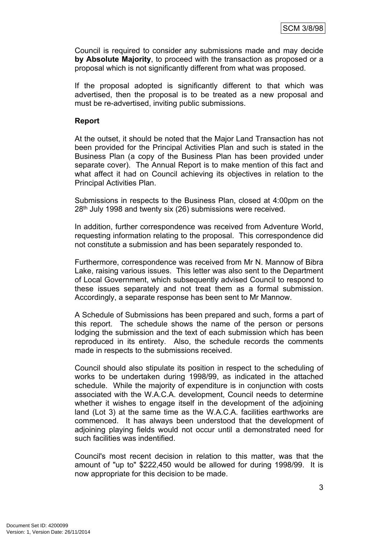Council is required to consider any submissions made and may decide **by Absolute Majority**, to proceed with the transaction as proposed or a proposal which is not significantly different from what was proposed.

If the proposal adopted is significantly different to that which was advertised, then the proposal is to be treated as a new proposal and must be re-advertised, inviting public submissions.

### **Report**

At the outset, it should be noted that the Major Land Transaction has not been provided for the Principal Activities Plan and such is stated in the Business Plan (a copy of the Business Plan has been provided under separate cover). The Annual Report is to make mention of this fact and what affect it had on Council achieving its objectives in relation to the Principal Activities Plan.

Submissions in respects to the Business Plan, closed at 4:00pm on the 28th July 1998 and twenty six (26) submissions were received.

In addition, further correspondence was received from Adventure World, requesting information relating to the proposal. This correspondence did not constitute a submission and has been separately responded to.

Furthermore, correspondence was received from Mr N. Mannow of Bibra Lake, raising various issues. This letter was also sent to the Department of Local Government, which subsequently advised Council to respond to these issues separately and not treat them as a formal submission. Accordingly, a separate response has been sent to Mr Mannow.

A Schedule of Submissions has been prepared and such, forms a part of this report. The schedule shows the name of the person or persons lodging the submission and the text of each submission which has been reproduced in its entirety. Also, the schedule records the comments made in respects to the submissions received.

Council should also stipulate its position in respect to the scheduling of works to be undertaken during 1998/99, as indicated in the attached schedule. While the majority of expenditure is in conjunction with costs associated with the W.A.C.A. development, Council needs to determine whether it wishes to engage itself in the development of the adjoining land (Lot 3) at the same time as the W.A.C.A. facilities earthworks are commenced. It has always been understood that the development of adjoining playing fields would not occur until a demonstrated need for such facilities was indentified.

Council's most recent decision in relation to this matter, was that the amount of "up to" \$222,450 would be allowed for during 1998/99. It is now appropriate for this decision to be made.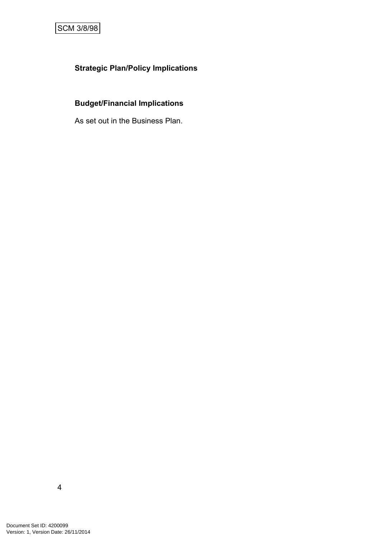# **Strategic Plan/Policy Implications**

# **Budget/Financial Implications**

As set out in the Business Plan.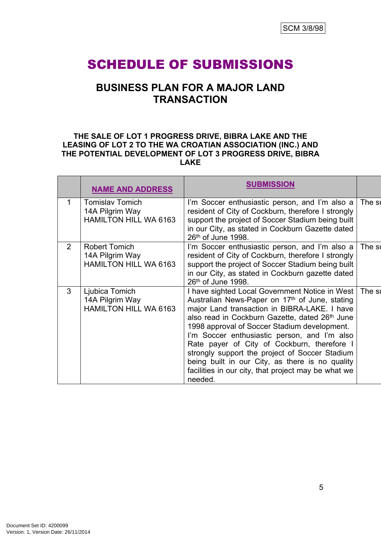# SCHEDULE OF SUBMISSIONS

# **BUSINESS PLAN FOR A MAJOR LAND TRANSACTION**

#### **THE SALE OF LOT 1 PROGRESS DRIVE, BIBRA LAKE AND THE LEASING OF LOT 2 TO THE WA CROATIAN ASSOCIATION (INC.) AND THE POTENTIAL DEVELOPMENT OF LOT 3 PROGRESS DRIVE, BIBRA LAKE**

|                | <b>NAME AND ADDRESS</b>                                                   | <b>SUBMISSION</b>                                                                                                                                                                                                                                                                                                                                                                                                                                                                                                                             |        |
|----------------|---------------------------------------------------------------------------|-----------------------------------------------------------------------------------------------------------------------------------------------------------------------------------------------------------------------------------------------------------------------------------------------------------------------------------------------------------------------------------------------------------------------------------------------------------------------------------------------------------------------------------------------|--------|
| 1              | <b>Tomislav Tomich</b><br>14A Pilgrim Way<br><b>HAMILTON HILL WA 6163</b> | I'm Soccer enthusiastic person, and I'm also a The su<br>resident of City of Cockburn, therefore I strongly<br>support the project of Soccer Stadium being built<br>in our City, as stated in Cockburn Gazette dated<br>26th of June 1998.                                                                                                                                                                                                                                                                                                    |        |
| $\overline{2}$ | Robert Tomich<br>14A Pilgrim Way<br>HAMILTON HILL WA 6163                 | I'm Soccer enthusiastic person, and I'm also a<br>resident of City of Cockburn, therefore I strongly<br>support the project of Soccer Stadium being built<br>in our City, as stated in Cockburn gazette dated<br>26th of June 1998.                                                                                                                                                                                                                                                                                                           | The st |
| 3              | Ljubica Tomich<br>14A Pilgrim Way<br><b>HAMILTON HILL WA 6163</b>         | I have sighted Local Government Notice in West   The su<br>Australian News-Paper on 17 <sup>th</sup> of June, stating<br>major Land transaction in BIBRA-LAKE. I have<br>also read in Cockburn Gazette, dated 26th June<br>1998 approval of Soccer Stadium development.<br>I'm Soccer enthusiastic person, and I'm also<br>Rate payer of City of Cockburn, therefore I<br>strongly support the project of Soccer Stadium<br>being built in our City, as there is no quality<br>facilities in our city, that project may be what we<br>needed. |        |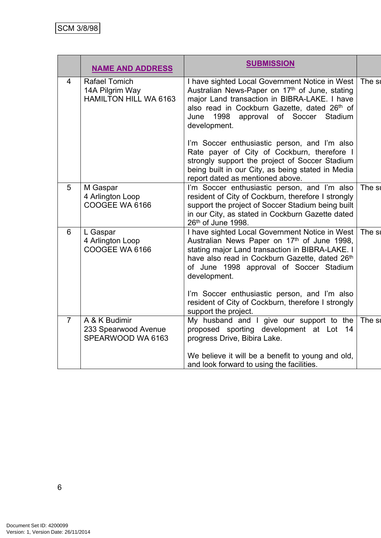|                | <b>NAME AND ADDRESS</b>                                          | <b>SUBMISSION</b>                                                                                                                                                                                                                                                                                                                                                                           |        |
|----------------|------------------------------------------------------------------|---------------------------------------------------------------------------------------------------------------------------------------------------------------------------------------------------------------------------------------------------------------------------------------------------------------------------------------------------------------------------------------------|--------|
| $\overline{4}$ | <b>Rafael Tomich</b><br>14A Pilgrim Way<br>HAMILTON HILL WA 6163 | I have sighted Local Government Notice in West<br>Australian News-Paper on 17th of June, stating<br>major Land transaction in BIBRA-LAKE. I have<br>also read in Cockburn Gazette, dated 26th of<br>1998 approval of Soccer<br>Stadium<br>June<br>development.<br>I'm Soccer enthusiastic person, and I'm also                                                                              | The st |
|                |                                                                  | Rate payer of City of Cockburn, therefore I<br>strongly support the project of Soccer Stadium<br>being built in our City, as being stated in Media<br>report dated as mentioned above.                                                                                                                                                                                                      |        |
| 5              | M Gaspar<br>4 Arlington Loop<br>COOGEE WA 6166                   | I'm Soccer enthusiastic person, and I'm also<br>resident of City of Cockburn, therefore I strongly<br>support the project of Soccer Stadium being built<br>in our City, as stated in Cockburn Gazette dated<br>26th of June 1998.                                                                                                                                                           | The st |
| 6              | L Gaspar<br>4 Arlington Loop<br>COOGEE WA 6166                   | I have sighted Local Government Notice in West<br>Australian News Paper on 17th of June 1998,<br>stating major Land transaction in BIBRA-LAKE. I<br>have also read in Cockburn Gazette, dated 26th<br>of June 1998 approval of Soccer Stadium<br>development.<br>I'm Soccer enthusiastic person, and I'm also<br>resident of City of Cockburn, therefore I strongly<br>support the project. | The st |
| $\overline{7}$ | A & K Budimir<br>233 Spearwood Avenue<br>SPEARWOOD WA 6163       | My husband and I give our support to the<br>proposed sporting development at Lot 14<br>progress Drive, Bibira Lake.<br>We believe it will be a benefit to young and old,<br>and look forward to using the facilities.                                                                                                                                                                       | The st |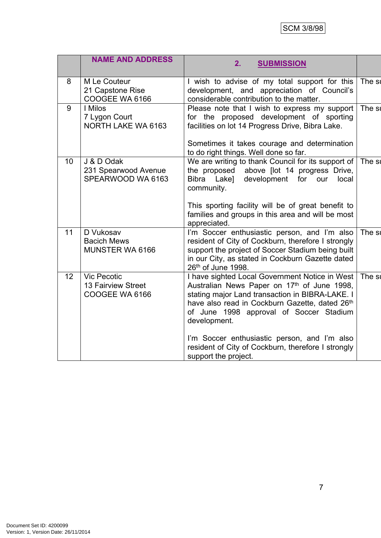|                 | <b>NAME AND ADDRESS</b>                                    | 2.<br><b>SUBMISSION</b>                                                                                                                                                                                                                                                                                                                                                                     |        |
|-----------------|------------------------------------------------------------|---------------------------------------------------------------------------------------------------------------------------------------------------------------------------------------------------------------------------------------------------------------------------------------------------------------------------------------------------------------------------------------------|--------|
| 8               | M Le Couteur<br>21 Capstone Rise<br>COOGEE WA 6166         | I wish to advise of my total support for this<br>development, and appreciation of Council's<br>considerable contribution to the matter.                                                                                                                                                                                                                                                     | The st |
| 9               | I Milos<br>7 Lygon Court<br>NORTH LAKE WA 6163             | Please note that I wish to express my support<br>for the proposed development of sporting<br>facilities on lot 14 Progress Drive, Bibra Lake.<br>Sometimes it takes courage and determination<br>to do right things. Well done so far.                                                                                                                                                      | The si |
| 10 <sup>1</sup> | J & D Odak<br>231 Spearwood Avenue<br>SPEARWOOD WA 6163    | We are writing to thank Council for its support of $\vert$ The sull<br>the proposed<br>above [lot 14 progress Drive,<br>Bibra Lake]<br>development for our<br>local<br>community.<br>This sporting facility will be of great benefit to<br>families and groups in this area and will be most<br>appreciated.                                                                                |        |
| 11              | D Vukosav<br><b>Bacich Mews</b><br>MUNSTER WA 6166         | I'm Soccer enthusiastic person, and I'm also<br>resident of City of Cockburn, therefore I strongly<br>support the project of Soccer Stadium being built<br>in our City, as stated in Cockburn Gazette dated<br>26th of June 1998.                                                                                                                                                           | The st |
| 12              | <b>Vic Pecotic</b><br>13 Fairview Street<br>COOGEE WA 6166 | I have sighted Local Government Notice in West<br>Australian News Paper on 17th of June 1998,<br>stating major Land transaction in BIBRA-LAKE. I<br>have also read in Cockburn Gazette, dated 26th<br>of June 1998 approval of Soccer Stadium<br>development.<br>I'm Soccer enthusiastic person, and I'm also<br>resident of City of Cockburn, therefore I strongly<br>support the project. | The st |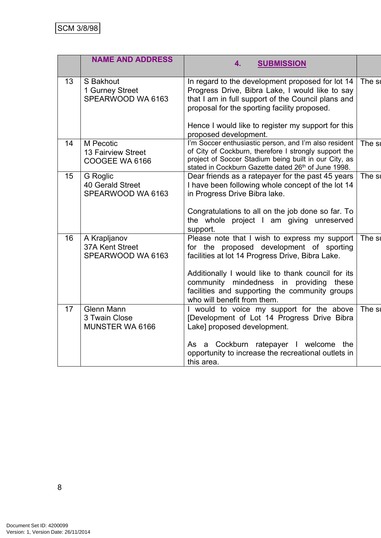|    | <b>NAME AND ADDRESS</b>                               | 4.<br><b>SUBMISSION</b>                                                                                                                                                                                                                                                                                                         |        |
|----|-------------------------------------------------------|---------------------------------------------------------------------------------------------------------------------------------------------------------------------------------------------------------------------------------------------------------------------------------------------------------------------------------|--------|
| 13 | S Bakhout<br>1 Gurney Street<br>SPEARWOOD WA 6163     | In regard to the development proposed for lot 14<br>Progress Drive, Bibra Lake, I would like to say<br>that I am in full support of the Council plans and<br>proposal for the sporting facility proposed.<br>Hence I would like to register my support for this<br>proposed development.                                        | The st |
| 14 | M Pecotic<br>13 Fairview Street<br>COOGEE WA 6166     | I'm Soccer enthusiastic person, and I'm also resident<br>of City of Cockburn, therefore I strongly support the<br>project of Soccer Stadium being built in our City, as<br>stated in Cockburn Gazette dated 26th of June 1998.                                                                                                  | The st |
| 15 | G Roglic<br>40 Gerald Street<br>SPEARWOOD WA 6163     | Dear friends as a ratepayer for the past 45 years<br>I have been following whole concept of the lot 14<br>in Progress Drive Bibra lake.<br>Congratulations to all on the job done so far. To<br>the whole project I am giving unreserved<br>support.                                                                            | The st |
| 16 | A Krapljanov<br>37A Kent Street<br>SPEARWOOD WA 6163  | Please note that I wish to express my support<br>for the proposed development of sporting<br>facilities at lot 14 Progress Drive, Bibra Lake.<br>Additionally I would like to thank council for its<br>community mindedness in providing these<br>facilities and supporting the community groups<br>who will benefit from them. | The st |
| 17 | <b>Glenn Mann</b><br>3 Twain Close<br>MUNSTER WA 6166 | I would to voice my support for the above<br>[Development of Lot 14 Progress Drive Bibra<br>Lake] proposed development.<br>As a Cockburn ratepayer I welcome the<br>opportunity to increase the recreational outlets in<br>this area.                                                                                           | The st |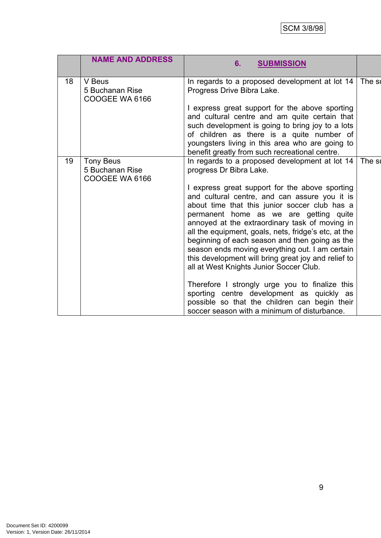# SCM 3/8/98

|    | <b>NAME AND ADDRESS</b>                               | <b>SUBMISSION</b><br>6.                                                                                                                                                                                                                                                                                                                                                                                                                                                                                                                                                                                                                                                                                                                                                                  |        |
|----|-------------------------------------------------------|------------------------------------------------------------------------------------------------------------------------------------------------------------------------------------------------------------------------------------------------------------------------------------------------------------------------------------------------------------------------------------------------------------------------------------------------------------------------------------------------------------------------------------------------------------------------------------------------------------------------------------------------------------------------------------------------------------------------------------------------------------------------------------------|--------|
| 18 | V Beus<br>5 Buchanan Rise<br>COOGEE WA 6166           | In regards to a proposed development at lot 14<br>Progress Drive Bibra Lake.<br>I express great support for the above sporting<br>and cultural centre and am quite certain that<br>such development is going to bring joy to a lots<br>of children as there is a quite number of<br>youngsters living in this area who are going to<br>benefit greatly from such recreational centre.                                                                                                                                                                                                                                                                                                                                                                                                    | The st |
| 19 | <b>Tony Beus</b><br>5 Buchanan Rise<br>COOGEE WA 6166 | In regards to a proposed development at lot 14<br>progress Dr Bibra Lake.<br>I express great support for the above sporting<br>and cultural centre, and can assure you it is<br>about time that this junior soccer club has a<br>permanent home as we are getting quite<br>annoyed at the extraordinary task of moving in<br>all the equipment, goals, nets, fridge's etc, at the<br>beginning of each season and then going as the<br>season ends moving everything out. I am certain<br>this development will bring great joy and relief to<br>all at West Knights Junior Soccer Club.<br>Therefore I strongly urge you to finalize this<br>sporting centre development as quickly as<br>possible so that the children can begin their<br>soccer season with a minimum of disturbance. | The su |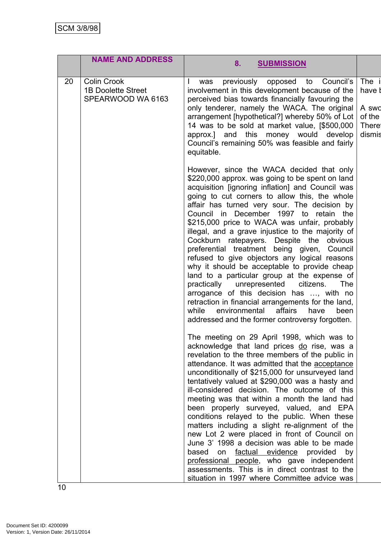|    | <b>NAME AND ADDRESS</b>                                       | 8.<br><b>SUBMISSION</b>                                                                                                                                                                                                                                                                                                                                                                                                                                                                                                                                                                                                                                                                                                                                                                                                                                                                                  |                                                              |
|----|---------------------------------------------------------------|----------------------------------------------------------------------------------------------------------------------------------------------------------------------------------------------------------------------------------------------------------------------------------------------------------------------------------------------------------------------------------------------------------------------------------------------------------------------------------------------------------------------------------------------------------------------------------------------------------------------------------------------------------------------------------------------------------------------------------------------------------------------------------------------------------------------------------------------------------------------------------------------------------|--------------------------------------------------------------|
| 20 | Colin Crook<br><b>1B Doolette Street</b><br>SPEARWOOD WA 6163 | previously opposed<br>to Council's<br>was<br>involvement in this development because of the<br>perceived bias towards financially favouring the<br>only tenderer, namely the WACA. The original<br>arrangement [hypothetical?] whereby 50% of Lot<br>14 was to be sold at market value, [\$500,000<br>approx.] and this money would develop<br>Council's remaining 50% was feasible and fairly<br>equitable.                                                                                                                                                                                                                                                                                                                                                                                                                                                                                             | The i<br>have t<br>A swd<br>of the<br><b>There</b><br>dismis |
|    |                                                               | However, since the WACA decided that only<br>\$220,000 approx. was going to be spent on land<br>acquisition [ignoring inflation] and Council was<br>going to cut corners to allow this, the whole<br>affair has turned very sour. The decision by<br>Council in December 1997 to retain the<br>\$215,000 price to WACA was unfair, probably<br>illegal, and a grave injustice to the majority of<br>Cockburn ratepayers. Despite the obvious<br>preferential treatment being given, Council<br>refused to give objectors any logical reasons<br>why it should be acceptable to provide cheap<br>land to a particular group at the expense of<br>practically unrepresented citizens.<br><b>The</b><br>arrogance of this decision has , with no<br>retraction in financial arrangements for the land,<br>environmental affairs<br>while<br>have<br>been<br>addressed and the former controversy forgotten. |                                                              |
|    |                                                               | The meeting on 29 April 1998, which was to<br>acknowledge that land prices do rise, was a<br>revelation to the three members of the public in<br>attendance. It was admitted that the acceptance<br>unconditionally of \$215,000 for unsurveyed land<br>tentatively valued at \$290,000 was a hasty and<br>ill-considered decision. The outcome of this<br>meeting was that within a month the land had<br>been properly surveyed, valued, and EPA<br>conditions relayed to the public. When these<br>matters including a slight re-alignment of the<br>new Lot 2 were placed in front of Council on<br>June 3' 1998 a decision was able to be made<br>factual evidence provided<br>based<br>on<br>by<br>professional people, who gave independent<br>assessments. This is in direct contrast to the<br>situation in 1997 where Committee advice was                                                     |                                                              |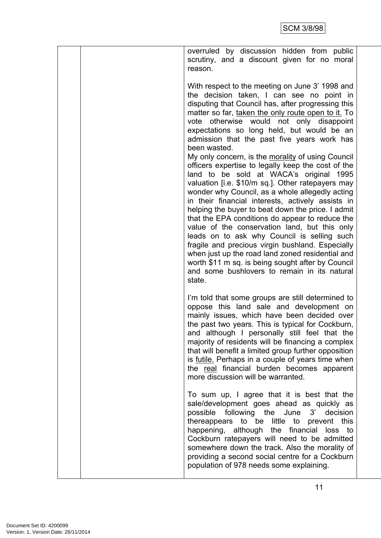| overruled by discussion hidden from public                                                                                                                                                                                                                                                                                                                                                                                                                                                                                                                                                                                                                                                                                                                                                                                                                                                                                                                                                                                                                                                                      |
|-----------------------------------------------------------------------------------------------------------------------------------------------------------------------------------------------------------------------------------------------------------------------------------------------------------------------------------------------------------------------------------------------------------------------------------------------------------------------------------------------------------------------------------------------------------------------------------------------------------------------------------------------------------------------------------------------------------------------------------------------------------------------------------------------------------------------------------------------------------------------------------------------------------------------------------------------------------------------------------------------------------------------------------------------------------------------------------------------------------------|
| scrutiny, and a discount given for no moral                                                                                                                                                                                                                                                                                                                                                                                                                                                                                                                                                                                                                                                                                                                                                                                                                                                                                                                                                                                                                                                                     |
| reason.                                                                                                                                                                                                                                                                                                                                                                                                                                                                                                                                                                                                                                                                                                                                                                                                                                                                                                                                                                                                                                                                                                         |
| With respect to the meeting on June 3' 1998 and<br>the decision taken, I can see no point in<br>disputing that Council has, after progressing this<br>matter so far, taken the only route open to it. To<br>otherwise would not only disappoint<br>vote<br>expectations so long held, but would be an<br>admission that the past five years work has<br>been wasted.<br>My only concern, is the morality of using Council<br>officers expertise to legally keep the cost of the<br>land to be sold at WACA's original<br>1995<br>valuation [i.e. \$10/m sq.]. Other ratepayers may<br>wonder why Council, as a whole allegedly acting<br>in their financial interests, actively assists in<br>helping the buyer to beat down the price. I admit<br>that the EPA conditions do appear to reduce the<br>value of the conservation land, but this only<br>leads on to ask why Council is selling such<br>fragile and precious virgin bushland. Especially<br>when just up the road land zoned residential and<br>worth \$11 m sq. is being sought after by Council<br>and some bushlovers to remain in its natural |
| state.                                                                                                                                                                                                                                                                                                                                                                                                                                                                                                                                                                                                                                                                                                                                                                                                                                                                                                                                                                                                                                                                                                          |
| I'm told that some groups are still determined to<br>oppose this land sale and development on<br>mainly issues, which have been decided over<br>the past two years. This is typical for Cockburn,<br>and although I personally still feel that the<br>majority of residents will be financing a complex<br>that will benefit a limited group further opposition<br>is <u>futile</u> . Perhaps in a couple of years time when<br>the real financial burden becomes apparent<br>more discussion will be warranted.                                                                                                                                                                                                                                                                                                                                                                                                                                                                                                                                                                                                |
| To sum up, I agree that it is best that the<br>sale/development goes ahead as quickly as<br>possible following the June 3'<br>decision<br>thereappears to be little to prevent this<br>happening, although the financial loss to<br>Cockburn ratepayers will need to be admitted<br>somewhere down the track. Also the morality of<br>providing a second social centre for a Cockburn<br>population of 978 needs some explaining.                                                                                                                                                                                                                                                                                                                                                                                                                                                                                                                                                                                                                                                                               |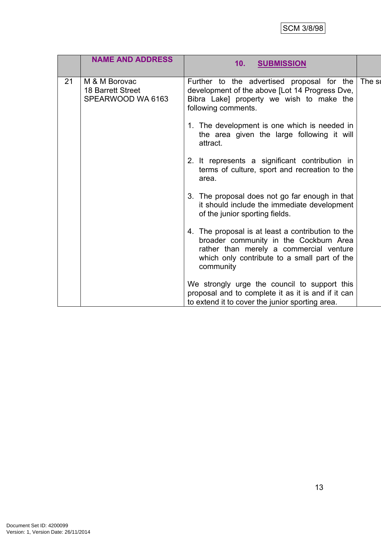|    | <b>NAME AND ADDRESS</b>                                        | 10.<br><b>SUBMISSION</b>                                                                                                                                                                            |        |
|----|----------------------------------------------------------------|-----------------------------------------------------------------------------------------------------------------------------------------------------------------------------------------------------|--------|
| 21 | M & M Borovac<br><b>18 Barrett Street</b><br>SPEARWOOD WA 6163 | Further to the advertised proposal for the<br>development of the above [Lot 14 Progress Dve,<br>Bibra Lake] property we wish to make the<br>following comments.                                     | The st |
|    |                                                                | 1. The development is one which is needed in<br>the area given the large following it will<br>attract.                                                                                              |        |
|    |                                                                | 2. It represents a significant contribution in<br>terms of culture, sport and recreation to the<br>area.                                                                                            |        |
|    |                                                                | 3. The proposal does not go far enough in that<br>it should include the immediate development<br>of the junior sporting fields.                                                                     |        |
|    |                                                                | 4. The proposal is at least a contribution to the<br>broader community in the Cockburn Area<br>rather than merely a commercial venture<br>which only contribute to a small part of the<br>community |        |
|    |                                                                | We strongly urge the council to support this<br>proposal and to complete it as it is and if it can<br>to extend it to cover the junior sporting area.                                               |        |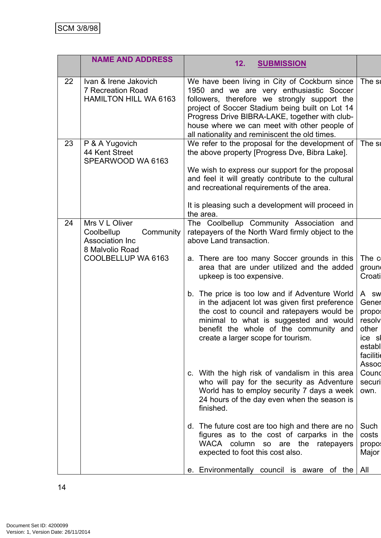|    | <b>NAME AND ADDRESS</b>                                                                               | 12.<br><b>SUBMISSION</b>                                                                                                                                                                                                                                                                                                                                                                                                                                                                                                                                                                                                                                                                                                                                                                                                                                                                                                |                                                                                                                                                                                 |
|----|-------------------------------------------------------------------------------------------------------|-------------------------------------------------------------------------------------------------------------------------------------------------------------------------------------------------------------------------------------------------------------------------------------------------------------------------------------------------------------------------------------------------------------------------------------------------------------------------------------------------------------------------------------------------------------------------------------------------------------------------------------------------------------------------------------------------------------------------------------------------------------------------------------------------------------------------------------------------------------------------------------------------------------------------|---------------------------------------------------------------------------------------------------------------------------------------------------------------------------------|
| 22 | Ivan & Irene Jakovich<br>7 Recreation Road<br><b>HAMILTON HILL WA 6163</b>                            | We have been living in City of Cockburn since<br>1950 and we are very enthusiastic Soccer<br>followers, therefore we strongly support the<br>project of Soccer Stadium being built on Lot 14<br>Progress Drive BIBRA-LAKE, together with club-<br>house where we can meet with other people of<br>all nationality and reminiscent the old times.                                                                                                                                                                                                                                                                                                                                                                                                                                                                                                                                                                        | The st                                                                                                                                                                          |
| 23 | P & A Yugovich<br>44 Kent Street<br>SPEARWOOD WA 6163                                                 | We refer to the proposal for the development of<br>the above property [Progress Dve, Bibra Lake].<br>We wish to express our support for the proposal<br>and feel it will greatly contribute to the cultural<br>and recreational requirements of the area.<br>It is pleasing such a development will proceed in<br>the area.                                                                                                                                                                                                                                                                                                                                                                                                                                                                                                                                                                                             | The st                                                                                                                                                                          |
| 24 | Mrs V L Oliver<br>Coolbellup<br>Community<br>Association Inc<br>8 Malvolio Road<br>COOLBELLUP WA 6163 | The Coolbellup Community Association and<br>ratepayers of the North Ward firmly object to the<br>above Land transaction.<br>a. There are too many Soccer grounds in this<br>area that are under utilized and the added<br>upkeep is too expensive.<br>b. The price is too low and if Adventure World<br>in the adjacent lot was given first preference<br>the cost to council and ratepayers would be<br>minimal to what is suggested and would<br>benefit the whole of the community and<br>create a larger scope for tourism.<br>c. With the high risk of vandalism in this area<br>who will pay for the security as Adventure<br>World has to employ security 7 days a week<br>24 hours of the day even when the season is<br>finished.<br>d. The future cost are too high and there are no<br>figures as to the cost of carparks in the<br>WACA column so are the<br>ratepayers<br>expected to foot this cost also. | The c<br>groun<br>Croati<br>A sw<br>Gener<br>propo:<br>resolv<br>other<br>ice sl<br>establ<br>facilitie<br>Assoc<br>Cound<br>securi<br>own.<br>Such<br>costs<br>propo:<br>Major |
|    |                                                                                                       | Environmentally council is aware of the $\vert$ All<br>е.                                                                                                                                                                                                                                                                                                                                                                                                                                                                                                                                                                                                                                                                                                                                                                                                                                                               |                                                                                                                                                                                 |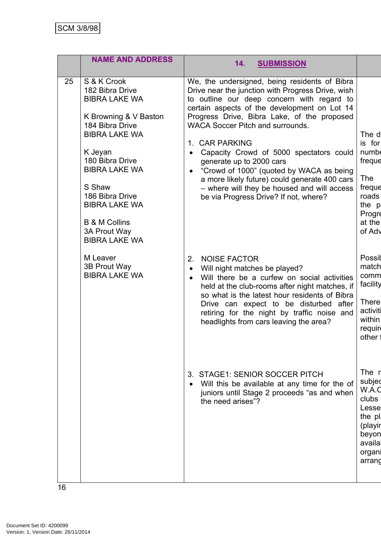|    | <b>NAME AND ADDRESS</b>                                                                                                                                                                                                                                                                                   | 14.<br><b>SUBMISSION</b>                                                                                                                                                                                                                                                                                                                                                                                                                                                                                                                                                                           |                                                                                                           |
|----|-----------------------------------------------------------------------------------------------------------------------------------------------------------------------------------------------------------------------------------------------------------------------------------------------------------|----------------------------------------------------------------------------------------------------------------------------------------------------------------------------------------------------------------------------------------------------------------------------------------------------------------------------------------------------------------------------------------------------------------------------------------------------------------------------------------------------------------------------------------------------------------------------------------------------|-----------------------------------------------------------------------------------------------------------|
| 25 | S & K Crook<br>182 Bibra Drive<br><b>BIBRA LAKE WA</b><br>K Browning & V Baston<br>184 Bibra Drive<br><b>BIBRA LAKE WA</b><br>K Jeyan<br>180 Bibra Drive<br><b>BIBRA LAKE WA</b><br>S Shaw<br>186 Bibra Drive<br><b>BIBRA LAKE WA</b><br><b>B &amp; M Collins</b><br>3A Prout Way<br><b>BIBRA LAKE WA</b> | We, the undersigned, being residents of Bibra<br>Drive near the junction with Progress Drive, wish<br>to outline our deep concern with regard to<br>certain aspects of the development on Lot 14<br>Progress Drive, Bibra Lake, of the proposed<br><b>WACA Soccer Pitch and surrounds.</b><br>1. CAR PARKING<br>Capacity Crowd of 5000 spectators could<br>$\bullet$<br>generate up to 2000 cars<br>"Crowd of 1000" (quoted by WACA as being<br>$\bullet$<br>a more likely future) could generate 400 cars<br>- where will they be housed and will access<br>be via Progress Drive? If not, where? | The d<br>is for<br>numb<br>freque<br><b>The</b><br>freque<br>roads<br>the p<br>Progre<br>at the<br>of Adv |
|    | M Leaver<br>3B Prout Way<br><b>BIBRA LAKE WA</b>                                                                                                                                                                                                                                                          | <b>NOISE FACTOR</b><br>2.<br>Will night matches be played?<br>$\bullet$<br>Will there be a curfew on social activities<br>$\bullet$<br>held at the club-rooms after night matches, if<br>so what is the latest hour residents of Bibra<br>Drive can expect to be disturbed after<br>retiring for the night by traffic noise and<br>headlights from cars leaving the area?                                                                                                                                                                                                                          | Possil<br>match<br>comm<br>facility<br><b>There</b><br>activiti<br>within<br>require<br>other :           |
|    |                                                                                                                                                                                                                                                                                                           | <b>STAGE1: SENIOR SOCCER PITCH</b><br>3.<br>Will this be available at any time for the of<br>juniors until Stage 2 proceeds "as and when<br>the need arises"?                                                                                                                                                                                                                                                                                                                                                                                                                                      | The r<br>subjed<br>W.A.C<br>clubs<br>Lesse<br>the pl<br>(playir<br>beyon<br>availa<br>organi<br>arrand    |
|    |                                                                                                                                                                                                                                                                                                           |                                                                                                                                                                                                                                                                                                                                                                                                                                                                                                                                                                                                    |                                                                                                           |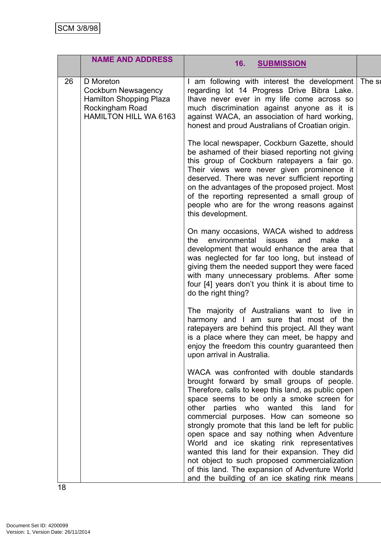|    | <b>NAME AND ADDRESS</b>                                                                                               | 16.<br><b>SUBMISSION</b>                                                                                                                                                                                                                                                                                                                                                                                                  |  |
|----|-----------------------------------------------------------------------------------------------------------------------|---------------------------------------------------------------------------------------------------------------------------------------------------------------------------------------------------------------------------------------------------------------------------------------------------------------------------------------------------------------------------------------------------------------------------|--|
| 26 | D Moreton<br>Cockburn Newsagency<br><b>Hamilton Shopping Plaza</b><br>Rockingham Road<br><b>HAMILTON HILL WA 6163</b> | I am following with interest the development The su<br>regarding lot 14 Progress Drive Bibra Lake.<br>lhave never ever in my life come across so<br>much discrimination against anyone as it is<br>against WACA, an association of hard working,<br>honest and proud Australians of Croatian origin.                                                                                                                      |  |
|    |                                                                                                                       | The local newspaper, Cockburn Gazette, should<br>be ashamed of their biased reporting not giving<br>this group of Cockburn ratepayers a fair go.<br>Their views were never given prominence it<br>deserved. There was never sufficient reporting<br>on the advantages of the proposed project. Most<br>of the reporting represented a small group of<br>people who are for the wrong reasons against<br>this development. |  |
|    |                                                                                                                       | On many occasions, WACA wished to address<br>environmental<br>the<br><b>issues</b><br>and<br>make<br>a<br>development that would enhance the area that<br>was neglected for far too long, but instead of<br>giving them the needed support they were faced<br>with many unnecessary problems. After some<br>four [4] years don't you think it is about time to<br>do the right thing?                                     |  |
|    |                                                                                                                       | The majority of Australians want to live in<br>harmony and I am sure that most of the<br>ratepayers are behind this project. All they want<br>is a place where they can meet, be happy and<br>enjoy the freedom this country guaranteed then<br>upon arrival in Australia.                                                                                                                                                |  |
|    |                                                                                                                       | WACA was confronted with double standards<br>brought forward by small groups of people.<br>Therefore, calls to keep this land, as public open<br>space seems to be only a smoke screen for<br>other parties who wanted this land<br>for<br>commercial purposes. How can someone so<br>strongly promote that this land be left for public                                                                                  |  |
|    |                                                                                                                       | open space and say nothing when Adventure<br>World and ice skating rink representatives<br>wanted this land for their expansion. They did<br>not object to such proposed commercialization<br>of this land. The expansion of Adventure World<br>and the building of an ice skating rink means                                                                                                                             |  |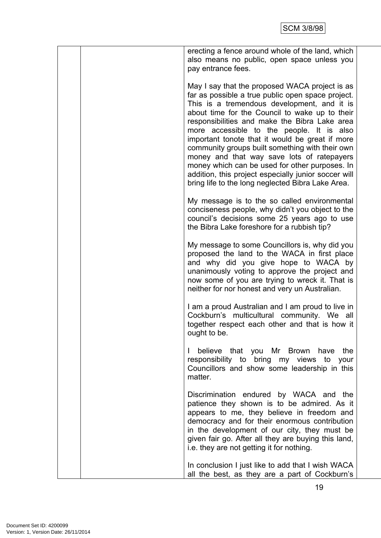| erecting a fence around whole of the land, which<br>also means no public, open space unless you<br>pay entrance fees.                                                                                                                                                                                                                                                                                                                                                                                                                                                                                                 |
|-----------------------------------------------------------------------------------------------------------------------------------------------------------------------------------------------------------------------------------------------------------------------------------------------------------------------------------------------------------------------------------------------------------------------------------------------------------------------------------------------------------------------------------------------------------------------------------------------------------------------|
| May I say that the proposed WACA project is as<br>far as possible a true public open space project.<br>This is a tremendous development, and it is<br>about time for the Council to wake up to their<br>responsibilities and make the Bibra Lake area<br>more accessible to the people. It is also<br>important tonote that it would be great if more<br>community groups built something with their own<br>money and that way save lots of ratepayers<br>money which can be used for other purposes. In<br>addition, this project especially junior soccer will<br>bring life to the long neglected Bibra Lake Area. |
| My message is to the so called environmental<br>conciseness people, why didn't you object to the<br>council's decisions some 25 years ago to use<br>the Bibra Lake foreshore for a rubbish tip?                                                                                                                                                                                                                                                                                                                                                                                                                       |
| My message to some Councillors is, why did you<br>proposed the land to the WACA in first place<br>and why did you give hope to WACA by<br>unanimously voting to approve the project and<br>now some of you are trying to wreck it. That is<br>neither for nor honest and very un Australian.                                                                                                                                                                                                                                                                                                                          |
| I am a proud Australian and I am proud to live in<br>Cockburn's multicultural community. We all<br>together respect each other and that is how it<br>ought to be.                                                                                                                                                                                                                                                                                                                                                                                                                                                     |
| believe that you Mr Brown have the<br>L<br>responsibility to bring my views to your<br>Councillors and show some leadership in this<br>matter.                                                                                                                                                                                                                                                                                                                                                                                                                                                                        |
| Discrimination endured by WACA and the<br>patience they shown is to be admired. As it<br>appears to me, they believe in freedom and<br>democracy and for their enormous contribution<br>in the development of our city, they must be<br>given fair go. After all they are buying this land,<br>i.e. they are not getting it for nothing.                                                                                                                                                                                                                                                                              |
| In conclusion I just like to add that I wish WACA<br>all the best, as they are a part of Cockburn's                                                                                                                                                                                                                                                                                                                                                                                                                                                                                                                   |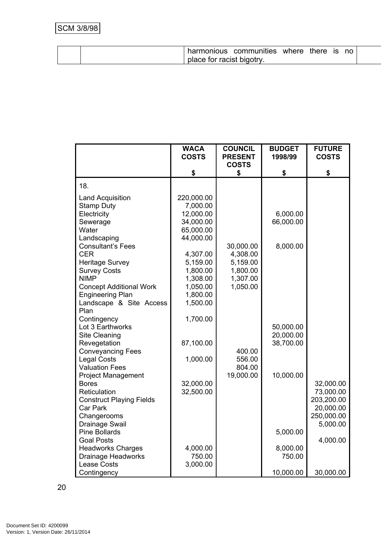|  | harmonious                | communities | where | there | <b>IS</b> | no |  |
|--|---------------------------|-------------|-------|-------|-----------|----|--|
|  | place for racist bigotry. |             |       |       |           |    |  |

|                                                    | <b>WACA</b><br><b>COSTS</b> | <b>COUNCIL</b><br><b>PRESENT</b> | <b>BUDGET</b><br>1998/99 | <b>FUTURE</b><br><b>COSTS</b> |
|----------------------------------------------------|-----------------------------|----------------------------------|--------------------------|-------------------------------|
|                                                    |                             | <b>COSTS</b>                     |                          |                               |
|                                                    | \$                          | \$                               | \$                       | \$                            |
| 18.                                                |                             |                                  |                          |                               |
| <b>Land Acquisition</b>                            | 220,000.00                  |                                  |                          |                               |
| <b>Stamp Duty</b>                                  | 7,000.00                    |                                  |                          |                               |
| Electricity                                        | 12,000.00                   |                                  | 6,000.00                 |                               |
| Sewerage                                           | 34,000.00                   |                                  | 66,000.00                |                               |
| Water                                              | 65,000.00                   |                                  |                          |                               |
| Landscaping                                        | 44,000.00                   |                                  |                          |                               |
| <b>Consultant's Fees</b>                           |                             | 30,000.00                        | 8,000.00                 |                               |
| <b>CER</b>                                         | 4,307.00                    | 4,308.00                         |                          |                               |
| <b>Heritage Survey</b>                             | 5,159.00                    | 5,159.00                         |                          |                               |
| <b>Survey Costs</b>                                | 1,800.00                    | 1,800.00                         |                          |                               |
| <b>NIMP</b>                                        | 1,308.00                    | 1,307.00                         |                          |                               |
| <b>Concept Additional Work</b>                     | 1,050.00                    | 1,050.00                         |                          |                               |
| <b>Engineering Plan</b><br>Landscape & Site Access | 1,800.00<br>1,500.00        |                                  |                          |                               |
| Plan                                               |                             |                                  |                          |                               |
| Contingency                                        | 1,700.00                    |                                  |                          |                               |
| Lot 3 Earthworks                                   |                             |                                  | 50,000.00                |                               |
| Site Cleaning                                      |                             |                                  | 20,000.00                |                               |
| Revegetation                                       | 87,100.00                   |                                  | 38,700.00                |                               |
| <b>Conveyancing Fees</b>                           |                             | 400.00                           |                          |                               |
| <b>Legal Costs</b>                                 | 1,000.00                    | 556.00                           |                          |                               |
| <b>Valuation Fees</b>                              |                             | 804.00                           |                          |                               |
| <b>Project Management</b>                          |                             | 19,000.00                        | 10,000.00                |                               |
| <b>Bores</b>                                       | 32,000.00                   |                                  |                          | 32,000.00                     |
| Reticulation                                       | 32,500.00                   |                                  |                          | 73,000.00                     |
| <b>Construct Playing Fields</b>                    |                             |                                  |                          | 203,200.00                    |
| Car Park                                           |                             |                                  |                          | 20,000.00                     |
| Changerooms                                        |                             |                                  |                          | 250,000.00                    |
| Drainage Swail                                     |                             |                                  |                          | 5,000.00                      |
| <b>Pine Bollards</b>                               |                             |                                  | 5,000.00                 |                               |
| <b>Goal Posts</b>                                  |                             |                                  |                          | 4,000.00                      |
| <b>Headworks Charges</b>                           | 4,000.00                    |                                  | 8,000.00                 |                               |
| <b>Drainage Headworks</b>                          | 750.00                      |                                  | 750.00                   |                               |
| <b>Lease Costs</b>                                 | 3,000.00                    |                                  |                          |                               |
| Contingency                                        |                             |                                  | 10,000.00                | 30,000.00                     |